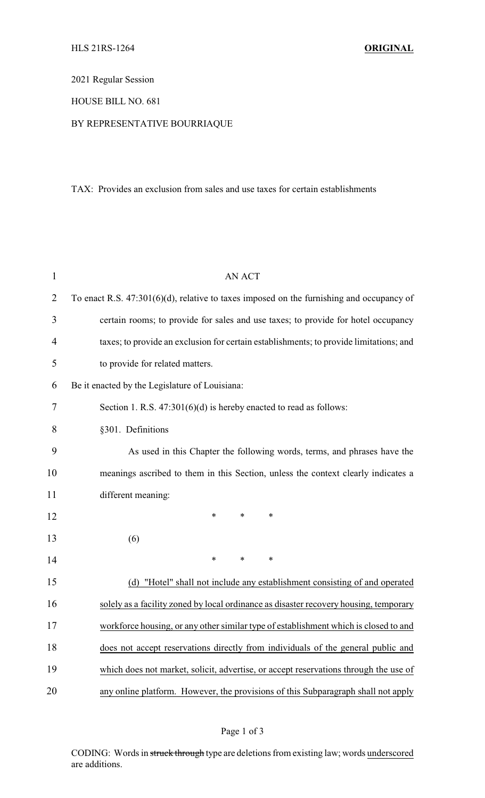2021 Regular Session

## HOUSE BILL NO. 681

## BY REPRESENTATIVE BOURRIAQUE

## TAX: Provides an exclusion from sales and use taxes for certain establishments

| $\mathbf{1}$   | <b>AN ACT</b>                                                                               |
|----------------|---------------------------------------------------------------------------------------------|
| 2              | To enact R.S. $47:301(6)(d)$ , relative to taxes imposed on the furnishing and occupancy of |
| 3              | certain rooms; to provide for sales and use taxes; to provide for hotel occupancy           |
| $\overline{4}$ | taxes; to provide an exclusion for certain establishments; to provide limitations; and      |
| 5              | to provide for related matters.                                                             |
| 6              | Be it enacted by the Legislature of Louisiana:                                              |
| 7              | Section 1. R.S. $47:301(6)(d)$ is hereby enacted to read as follows:                        |
| 8              | §301. Definitions                                                                           |
| 9              | As used in this Chapter the following words, terms, and phrases have the                    |
| 10             | meanings ascribed to them in this Section, unless the context clearly indicates a           |
| 11             | different meaning:                                                                          |
| 12             | $\ast$<br>$\ast$<br>$\ast$                                                                  |
| 13             | (6)                                                                                         |
| 14             | $\ast$<br>$\ast$<br>∗                                                                       |
| 15             | (d) "Hotel" shall not include any establishment consisting of and operated                  |
| 16             | solely as a facility zoned by local ordinance as disaster recovery housing, temporary       |
| 17             | workforce housing, or any other similar type of establishment which is closed to and        |
| 18             | does not accept reservations directly from individuals of the general public and            |
| 19             | which does not market, solicit, advertise, or accept reservations through the use of        |
| 20             | any online platform. However, the provisions of this Subparagraph shall not apply           |

CODING: Words in struck through type are deletions from existing law; words underscored are additions.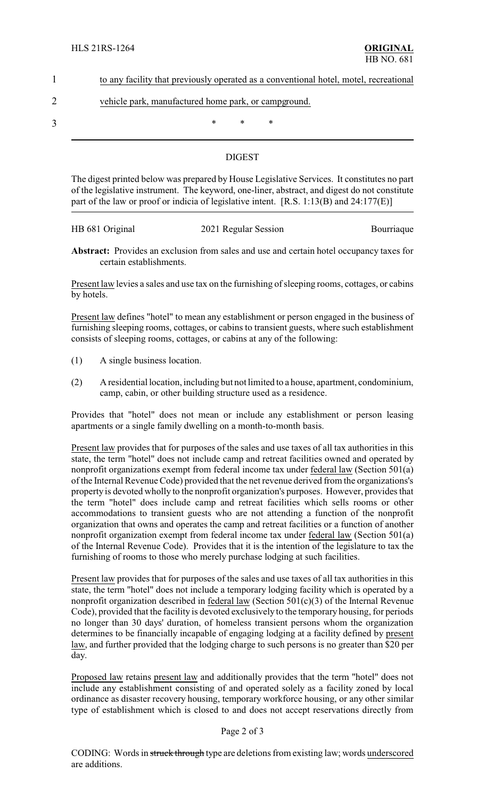|  | to any facility that previously operated as a conventional hotel, motel, recreational |  |  |
|--|---------------------------------------------------------------------------------------|--|--|
|  |                                                                                       |  |  |

# 2 vehicle park, manufactured home park, or campground.

 $3$  \* \* \*

## DIGEST

The digest printed below was prepared by House Legislative Services. It constitutes no part of the legislative instrument. The keyword, one-liner, abstract, and digest do not constitute part of the law or proof or indicia of legislative intent. [R.S. 1:13(B) and 24:177(E)]

| HB 681 Original |                      |            |
|-----------------|----------------------|------------|
|                 | 2021 Regular Session | Bourriaque |

**Abstract:** Provides an exclusion from sales and use and certain hotel occupancy taxes for certain establishments.

Present law levies a sales and use tax on the furnishing of sleeping rooms, cottages, or cabins by hotels.

Present law defines "hotel" to mean any establishment or person engaged in the business of furnishing sleeping rooms, cottages, or cabins to transient guests, where such establishment consists of sleeping rooms, cottages, or cabins at any of the following:

- (1) A single business location.
- (2) A residential location, including but not limited to a house, apartment, condominium, camp, cabin, or other building structure used as a residence.

Provides that "hotel" does not mean or include any establishment or person leasing apartments or a single family dwelling on a month-to-month basis.

Present law provides that for purposes of the sales and use taxes of all tax authorities in this state, the term "hotel" does not include camp and retreat facilities owned and operated by nonprofit organizations exempt from federal income tax under federal law (Section 501(a) of the Internal Revenue Code) provided that the net revenue derived from the organizations's property is devoted wholly to the nonprofit organization's purposes. However, provides that the term "hotel" does include camp and retreat facilities which sells rooms or other accommodations to transient guests who are not attending a function of the nonprofit organization that owns and operates the camp and retreat facilities or a function of another nonprofit organization exempt from federal income tax under federal law (Section 501(a) of the Internal Revenue Code). Provides that it is the intention of the legislature to tax the furnishing of rooms to those who merely purchase lodging at such facilities.

Present law provides that for purposes of the sales and use taxes of all tax authorities in this state, the term "hotel" does not include a temporary lodging facility which is operated by a nonprofit organization described in federal law (Section 501(c)(3) of the Internal Revenue Code), provided that the facility is devoted exclusively to the temporary housing, for periods no longer than 30 days' duration, of homeless transient persons whom the organization determines to be financially incapable of engaging lodging at a facility defined by present law, and further provided that the lodging charge to such persons is no greater than \$20 per day.

Proposed law retains present law and additionally provides that the term "hotel" does not include any establishment consisting of and operated solely as a facility zoned by local ordinance as disaster recovery housing, temporary workforce housing, or any other similar type of establishment which is closed to and does not accept reservations directly from

#### Page 2 of 3

CODING: Words in struck through type are deletions from existing law; words underscored are additions.